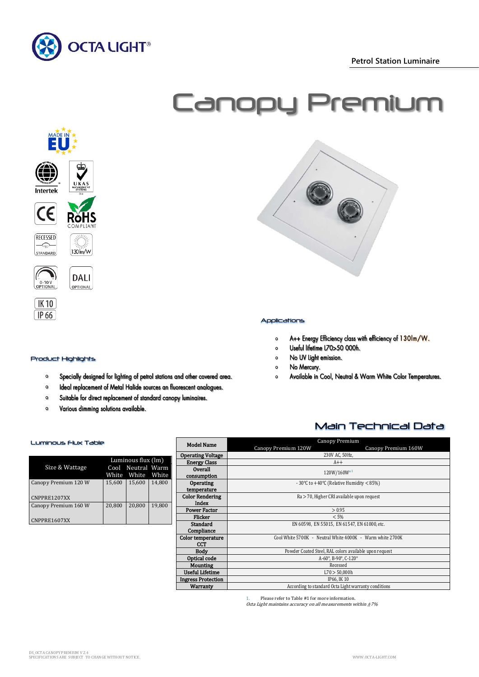

 **Petrol Station Luminaire**



# Canopy Premium



# Applications

- A++ Energy Efficiency class with efficiency of 130lm/W.  $\circ$
- Useful lifetime L70>50 000h.  $\bullet$
- No UV Light emission.  $\circ$
- No Mercury.  $\bullet$
- $\Omega$ Available in Cool, Neutral & Warm White Color Temperatures.

Main Technical Data

Product Highlights

 $\circ$ 

 $\Omega$  $\bullet$ 

 $\mathbf{o}$ 

# Luminous Flux Table

| Size & Wattage                       | Luminous flux (lm)<br>Cool Neutral Warm<br>White White White |        |        |
|--------------------------------------|--------------------------------------------------------------|--------|--------|
| Canopy Premium 120 W<br>CNPPRE1207XX | 15,600                                                       | 15,600 | 14.800 |
| Canopy Premium 160 W<br>CNPPRE1607XX | 20,800                                                       | 20.800 | 19.800 |

Various dimming solutions available.

Specially designed for lighting of petrol stations and other covered area.

Ideal replacement of Metal Halide sources an fluorescent analogues.

Suitable for direct replacement of standard canopy luminaires.

### Model Name Canopy Premium Canopy Premium 120W Canopy Premium 160W **Operating Voltage** 230V AC, 50<br> **Energy Class** A++ Energy Class **Overall Consumption** 120W/160W\*<sup>1</sup> **Operating** temperature - 30°C to +40°C (Relative Humidity < 85%) Color Rendering Index Ra > 70, Higher CRI available upon request Power Factor  $> 0.95$ <br>Flicker  $< 5\%$ Flicker  $< 5\%$ **Standard Compliance** EN 60598, EN 55015, EN 61547, EN 61000, etc. Color temperature CCT<br>Body Cool White 5700K - Neutral White 4000K - Warm white 2700K Powder Coated Steel, RAL colors available upon request<br>A-60°, B-90°, C-120° **Optical code** A-60°, B-90°, C-120°, C-120°, C-120°, C-120°, C-120°, C-120°, C-120°, C-120°, C-120°, C-120°, C-120°, C-120°, C-120°, C-120°, C-120°, C-120°, C-120°, C-120°, C-120°, C-120°, C-120°, C-120°, C-120°, C-120°, C Mounting Recessed<br>
Recessed<br>
Recessed<br>
L70 > 50,000b Useful Lifetime L70 > 50,000 https://www.assett.com/html background/html background/html background/html background/html background/html background/html background/html background/html background/html background/html backg Ingress Protection<br>Warranty

According to standard Octa Light warranty conditions

Please refer to Table #1 for more information.

Octa Light maintains accuracy on all measurements within  $\pm 7\%$